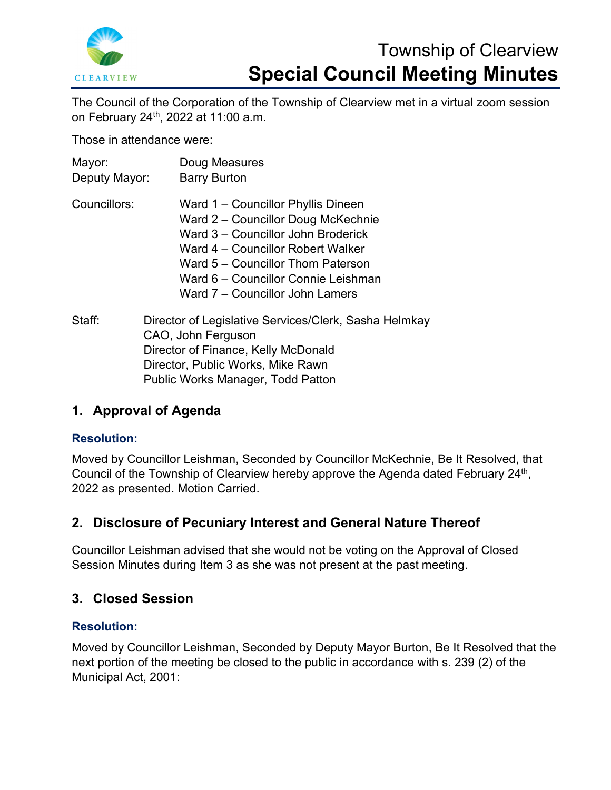

# Township of Clearview **Special Council Meeting Minutes**

The Council of the Corporation of the Township of Clearview met in a virtual zoom session on February 24th, 2022 at 11:00 a.m.

Those in attendance were:

| Mayor:        | Doug Measures                                                               |
|---------------|-----------------------------------------------------------------------------|
| Deputy Mayor: | <b>Barry Burton</b>                                                         |
| Councillors:  | Ward 1 – Councillor Phyllis Dineen                                          |
|               | Ward 2 – Councillor Doug McKechnie                                          |
|               | Ward 3 – Councillor John Broderick                                          |
|               | Ward 4 – Councillor Robert Walker                                           |
|               | Ward 5 – Councillor Thom Paterson                                           |
|               | Ward 6 – Councillor Connie Leishman                                         |
|               | Ward 7 – Councillor John Lamers                                             |
| Staff:        | Director of Legislative Services/Clerk, Sasha Helmkay<br>CAO, John Ferguson |

CAO, John Ferguson Director of Finance, Kelly McDonald Director, Public Works, Mike Rawn Public Works Manager, Todd Patton

# **1. Approval of Agenda**

# **Resolution:**

Moved by Councillor Leishman, Seconded by Councillor McKechnie, Be It Resolved, that Council of the Township of Clearview hereby approve the Agenda dated February 24<sup>th</sup>, 2022 as presented. Motion Carried.

# **2. Disclosure of Pecuniary Interest and General Nature Thereof**

Councillor Leishman advised that she would not be voting on the Approval of Closed Session Minutes during Item 3 as she was not present at the past meeting.

# **3. Closed Session**

# **Resolution:**

Moved by Councillor Leishman, Seconded by Deputy Mayor Burton, Be It Resolved that the next portion of the meeting be closed to the public in accordance with s. 239 (2) of the Municipal Act, 2001: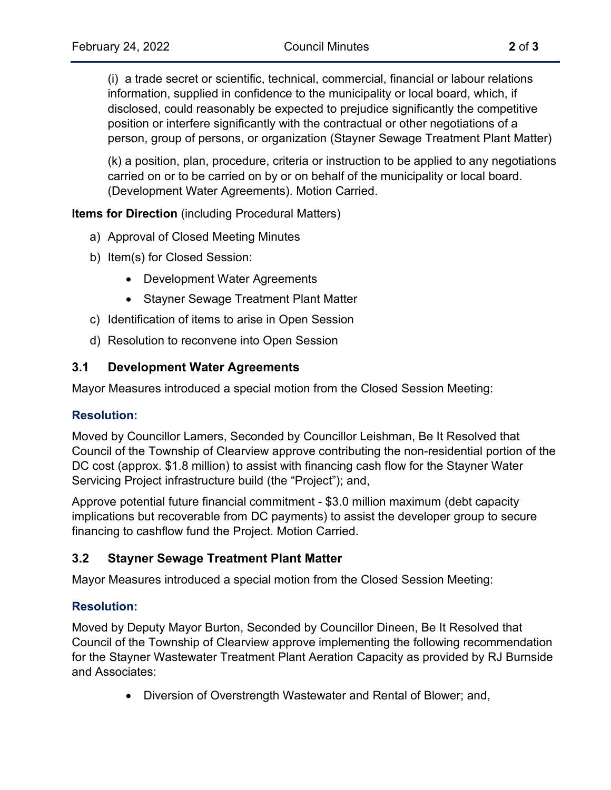(i) a trade secret or scientific, technical, commercial, financial or labour relations information, supplied in confidence to the municipality or local board, which, if disclosed, could reasonably be expected to prejudice significantly the competitive position or interfere significantly with the contractual or other negotiations of a person, group of persons, or organization (Stayner Sewage Treatment Plant Matter)

(k) a position, plan, procedure, criteria or instruction to be applied to any negotiations carried on or to be carried on by or on behalf of the municipality or local board. (Development Water Agreements). Motion Carried.

**Items for Direction** (including Procedural Matters)

- a) Approval of Closed Meeting Minutes
- b) Item(s) for Closed Session:
	- Development Water Agreements
	- Stayner Sewage Treatment Plant Matter
- c) Identification of items to arise in Open Session
- d) Resolution to reconvene into Open Session

#### **3.1 Development Water Agreements**

Mayor Measures introduced a special motion from the Closed Session Meeting:

#### **Resolution:**

Moved by Councillor Lamers, Seconded by Councillor Leishman, Be It Resolved that Council of the Township of Clearview approve contributing the non-residential portion of the DC cost (approx. \$1.8 million) to assist with financing cash flow for the Stayner Water Servicing Project infrastructure build (the "Project"); and,

Approve potential future financial commitment - \$3.0 million maximum (debt capacity implications but recoverable from DC payments) to assist the developer group to secure financing to cashflow fund the Project. Motion Carried.

## **3.2 Stayner Sewage Treatment Plant Matter**

Mayor Measures introduced a special motion from the Closed Session Meeting:

#### **Resolution:**

Moved by Deputy Mayor Burton, Seconded by Councillor Dineen, Be It Resolved that Council of the Township of Clearview approve implementing the following recommendation for the Stayner Wastewater Treatment Plant Aeration Capacity as provided by RJ Burnside and Associates:

• Diversion of Overstrength Wastewater and Rental of Blower; and,